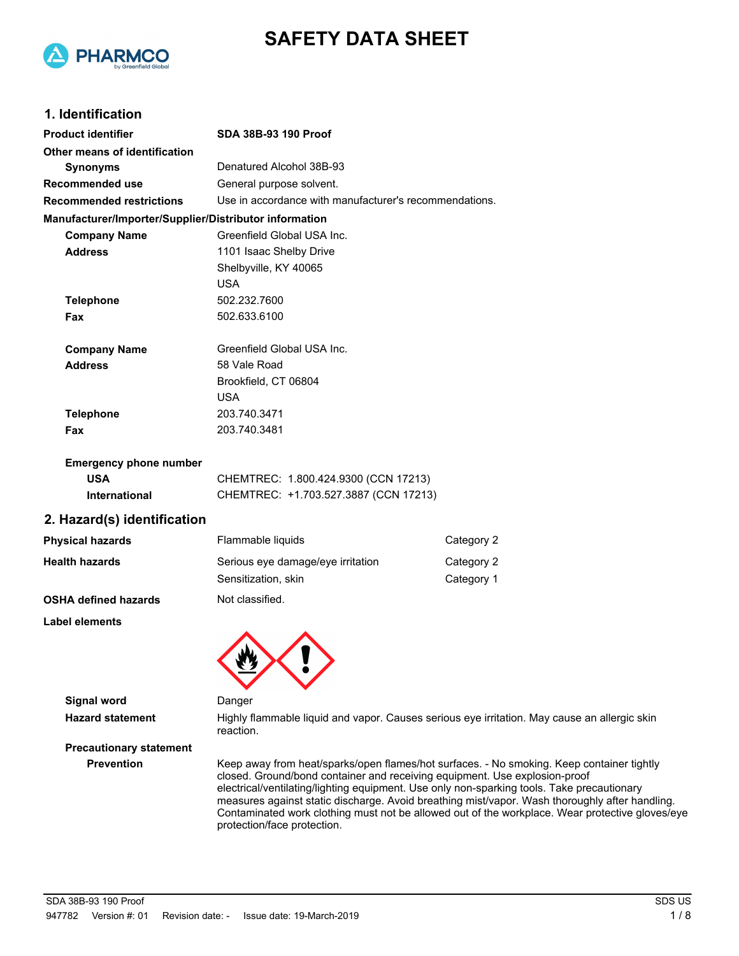



## **1. Identification**

| <b>Product identifier</b>                              | SDA 38B-93 190 Proof                                   |                                                                                              |  |
|--------------------------------------------------------|--------------------------------------------------------|----------------------------------------------------------------------------------------------|--|
| Other means of identification                          |                                                        |                                                                                              |  |
| <b>Synonyms</b>                                        | Denatured Alcohol 38B-93                               |                                                                                              |  |
| <b>Recommended use</b>                                 | General purpose solvent.                               |                                                                                              |  |
| <b>Recommended restrictions</b>                        | Use in accordance with manufacturer's recommendations. |                                                                                              |  |
| Manufacturer/Importer/Supplier/Distributor information |                                                        |                                                                                              |  |
| <b>Company Name</b>                                    | Greenfield Global USA Inc.                             |                                                                                              |  |
| <b>Address</b>                                         | 1101 Isaac Shelby Drive                                |                                                                                              |  |
|                                                        | Shelbyville, KY 40065                                  |                                                                                              |  |
|                                                        | <b>USA</b>                                             |                                                                                              |  |
| <b>Telephone</b>                                       | 502.232.7600                                           |                                                                                              |  |
| Fax                                                    | 502.633.6100                                           |                                                                                              |  |
| <b>Company Name</b>                                    | Greenfield Global USA Inc.                             |                                                                                              |  |
| <b>Address</b>                                         | 58 Vale Road                                           |                                                                                              |  |
|                                                        | Brookfield, CT 06804                                   |                                                                                              |  |
|                                                        | <b>USA</b>                                             |                                                                                              |  |
| <b>Telephone</b>                                       | 203.740.3471                                           |                                                                                              |  |
| Fax                                                    | 203.740.3481                                           |                                                                                              |  |
| <b>Emergency phone number</b>                          |                                                        |                                                                                              |  |
| <b>USA</b>                                             | CHEMTREC: 1.800.424.9300 (CCN 17213)                   |                                                                                              |  |
| International                                          | CHEMTREC: +1.703.527.3887 (CCN 17213)                  |                                                                                              |  |
| 2. Hazard(s) identification                            |                                                        |                                                                                              |  |
| <b>Physical hazards</b>                                | Flammable liquids                                      | Category 2                                                                                   |  |
| <b>Health hazards</b>                                  | Serious eye damage/eye irritation                      | Category 2                                                                                   |  |
|                                                        | Sensitization, skin                                    | Category 1                                                                                   |  |
| <b>OSHA defined hazards</b>                            | Not classified.                                        |                                                                                              |  |
| <b>Label elements</b>                                  |                                                        |                                                                                              |  |
|                                                        |                                                        |                                                                                              |  |
| <b>Signal word</b>                                     | Danger                                                 |                                                                                              |  |
| <b>Hazard statement</b>                                | reaction.                                              | Highly flammable liquid and vapor. Causes serious eye irritation. May cause an allergic skin |  |

**Precautionary statement**

**Prevention** Keep away from heat/sparks/open flames/hot surfaces. - No smoking. Keep container tightly closed. Ground/bond container and receiving equipment. Use explosion-proof electrical/ventilating/lighting equipment. Use only non-sparking tools. Take precautionary measures against static discharge. Avoid breathing mist/vapor. Wash thoroughly after handling. Contaminated work clothing must not be allowed out of the workplace. Wear protective gloves/eye protection/face protection.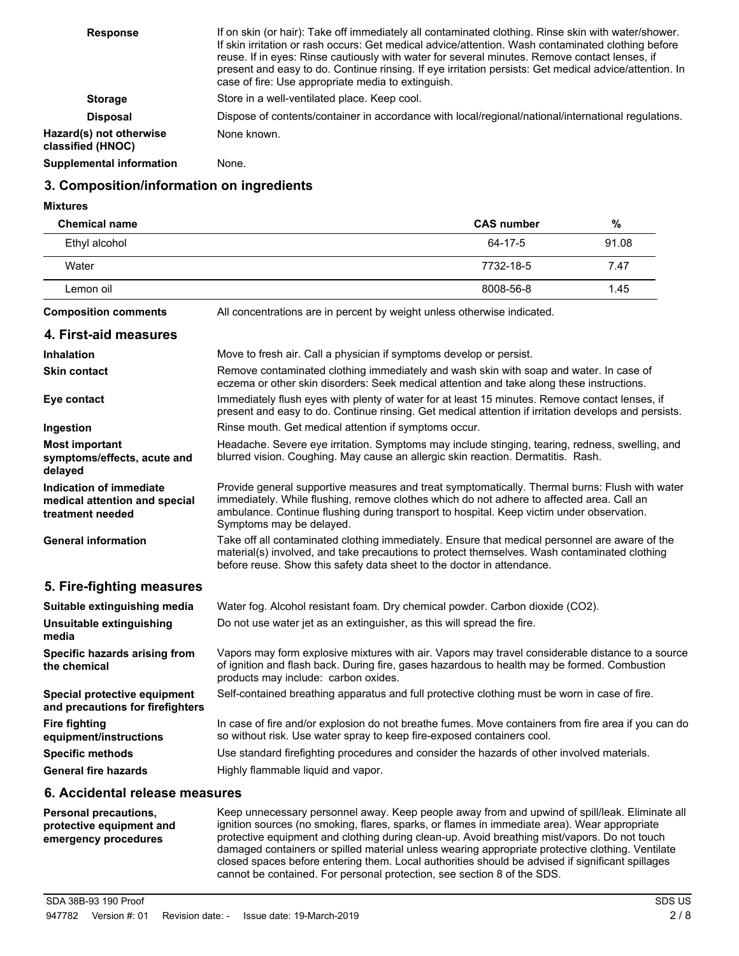| <b>Response</b>                              | If on skin (or hair): Take off immediately all contaminated clothing. Rinse skin with water/shower.<br>If skin irritation or rash occurs: Get medical advice/attention. Wash contaminated clothing before<br>reuse. If in eyes: Rinse cautiously with water for several minutes. Remove contact lenses, if<br>present and easy to do. Continue rinsing. If eye irritation persists: Get medical advice/attention. In<br>case of fire: Use appropriate media to extinguish. |
|----------------------------------------------|----------------------------------------------------------------------------------------------------------------------------------------------------------------------------------------------------------------------------------------------------------------------------------------------------------------------------------------------------------------------------------------------------------------------------------------------------------------------------|
| <b>Storage</b>                               | Store in a well-ventilated place. Keep cool.                                                                                                                                                                                                                                                                                                                                                                                                                               |
| <b>Disposal</b>                              | Dispose of contents/container in accordance with local/regional/national/international regulations.                                                                                                                                                                                                                                                                                                                                                                        |
| Hazard(s) not otherwise<br>classified (HNOC) | None known.                                                                                                                                                                                                                                                                                                                                                                                                                                                                |
| Supplemental information                     | None.                                                                                                                                                                                                                                                                                                                                                                                                                                                                      |

## **3. Composition/information on ingredients**

**Mixtures**

| <b>Chemical name</b>                                                         |                                                                                                                                                                                                                                                                                                                      | <b>CAS number</b> | $\%$  |
|------------------------------------------------------------------------------|----------------------------------------------------------------------------------------------------------------------------------------------------------------------------------------------------------------------------------------------------------------------------------------------------------------------|-------------------|-------|
| Ethyl alcohol                                                                |                                                                                                                                                                                                                                                                                                                      | 64-17-5           | 91.08 |
| Water                                                                        |                                                                                                                                                                                                                                                                                                                      | 7732-18-5         | 7.47  |
| Lemon oil                                                                    |                                                                                                                                                                                                                                                                                                                      | 8008-56-8         | 1.45  |
| <b>Composition comments</b>                                                  | All concentrations are in percent by weight unless otherwise indicated.                                                                                                                                                                                                                                              |                   |       |
| 4. First-aid measures                                                        |                                                                                                                                                                                                                                                                                                                      |                   |       |
| <b>Inhalation</b>                                                            | Move to fresh air. Call a physician if symptoms develop or persist.                                                                                                                                                                                                                                                  |                   |       |
| <b>Skin contact</b>                                                          | Remove contaminated clothing immediately and wash skin with soap and water. In case of<br>eczema or other skin disorders: Seek medical attention and take along these instructions.                                                                                                                                  |                   |       |
| Eye contact                                                                  | Immediately flush eyes with plenty of water for at least 15 minutes. Remove contact lenses, if<br>present and easy to do. Continue rinsing. Get medical attention if irritation develops and persists.                                                                                                               |                   |       |
| Ingestion                                                                    | Rinse mouth. Get medical attention if symptoms occur.                                                                                                                                                                                                                                                                |                   |       |
| <b>Most important</b><br>symptoms/effects, acute and<br>delayed              | Headache. Severe eye irritation. Symptoms may include stinging, tearing, redness, swelling, and<br>blurred vision. Coughing. May cause an allergic skin reaction. Dermatitis. Rash.                                                                                                                                  |                   |       |
| Indication of immediate<br>medical attention and special<br>treatment needed | Provide general supportive measures and treat symptomatically. Thermal burns: Flush with water<br>immediately. While flushing, remove clothes which do not adhere to affected area. Call an<br>ambulance. Continue flushing during transport to hospital. Keep victim under observation.<br>Symptoms may be delayed. |                   |       |
| <b>General information</b>                                                   | Take off all contaminated clothing immediately. Ensure that medical personnel are aware of the<br>material(s) involved, and take precautions to protect themselves. Wash contaminated clothing<br>before reuse. Show this safety data sheet to the doctor in attendance.                                             |                   |       |
| 5. Fire-fighting measures                                                    |                                                                                                                                                                                                                                                                                                                      |                   |       |
| Suitable extinguishing media                                                 | Water fog. Alcohol resistant foam. Dry chemical powder. Carbon dioxide (CO2).                                                                                                                                                                                                                                        |                   |       |
| <b>Unsuitable extinguishing</b><br>media                                     | Do not use water jet as an extinguisher, as this will spread the fire.                                                                                                                                                                                                                                               |                   |       |
| Specific hazards arising from<br>the chemical                                | Vapors may form explosive mixtures with air. Vapors may travel considerable distance to a source<br>of ignition and flash back. During fire, gases hazardous to health may be formed. Combustion<br>products may include: carbon oxides.                                                                             |                   |       |
| Special protective equipment<br>and precautions for firefighters             | Self-contained breathing apparatus and full protective clothing must be worn in case of fire.                                                                                                                                                                                                                        |                   |       |
| <b>Fire fighting</b><br>equipment/instructions                               | In case of fire and/or explosion do not breathe fumes. Move containers from fire area if you can do<br>so without risk. Use water spray to keep fire-exposed containers cool.                                                                                                                                        |                   |       |
| <b>Specific methods</b>                                                      | Use standard firefighting procedures and consider the hazards of other involved materials.                                                                                                                                                                                                                           |                   |       |
| <b>General fire hazards</b>                                                  | Highly flammable liquid and vapor.                                                                                                                                                                                                                                                                                   |                   |       |
|                                                                              |                                                                                                                                                                                                                                                                                                                      |                   |       |

## **6. Accidental release measures**

| <b>Personal precautions,</b><br>protective equipment and<br>emergency procedures | Keep unnecessary personnel away. Keep people away from and upwind of spill/leak. Eliminate all<br>ignition sources (no smoking, flares, sparks, or flames in immediate area). Wear appropriate<br>protective equipment and clothing during clean-up. Avoid breathing mist/vapors. Do not touch<br>damaged containers or spilled material unless wearing appropriate protective clothing. Ventilate<br>closed spaces before entering them. Local authorities should be advised if significant spillages |
|----------------------------------------------------------------------------------|--------------------------------------------------------------------------------------------------------------------------------------------------------------------------------------------------------------------------------------------------------------------------------------------------------------------------------------------------------------------------------------------------------------------------------------------------------------------------------------------------------|
|                                                                                  | cannot be contained. For personal protection, see section 8 of the SDS.                                                                                                                                                                                                                                                                                                                                                                                                                                |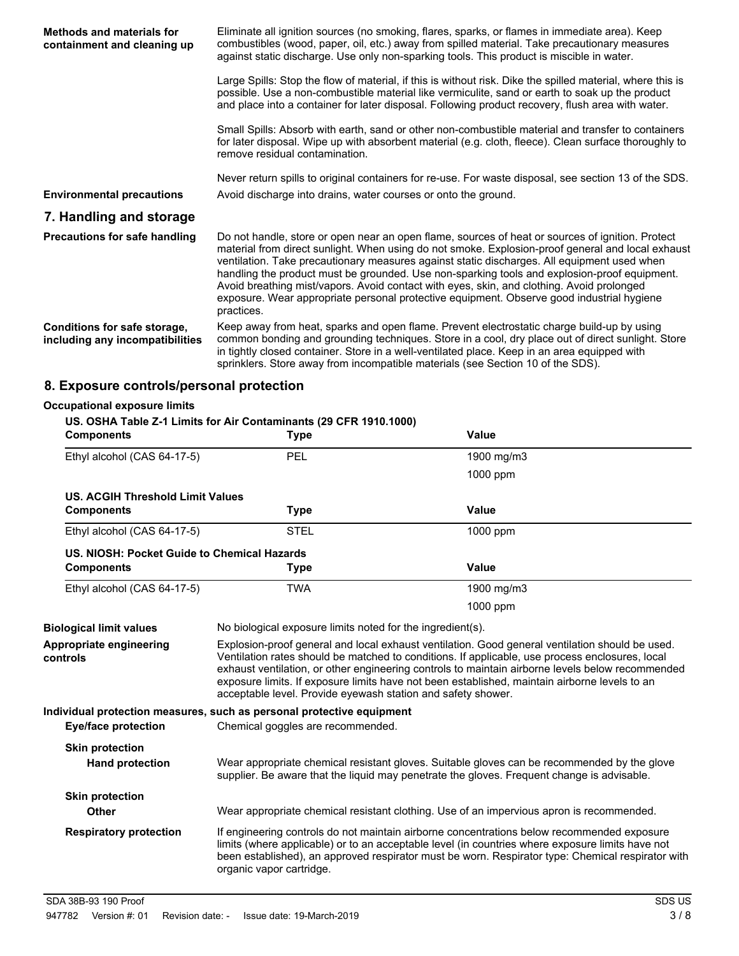| <b>Methods and materials for</b><br>containment and cleaning up | Eliminate all ignition sources (no smoking, flares, sparks, or flames in immediate area). Keep<br>combustibles (wood, paper, oil, etc.) away from spilled material. Take precautionary measures<br>against static discharge. Use only non-sparking tools. This product is miscible in water.                                                                                                                                                                                                                                                                                                                 |
|-----------------------------------------------------------------|--------------------------------------------------------------------------------------------------------------------------------------------------------------------------------------------------------------------------------------------------------------------------------------------------------------------------------------------------------------------------------------------------------------------------------------------------------------------------------------------------------------------------------------------------------------------------------------------------------------|
|                                                                 | Large Spills: Stop the flow of material, if this is without risk. Dike the spilled material, where this is<br>possible. Use a non-combustible material like vermiculite, sand or earth to soak up the product<br>and place into a container for later disposal. Following product recovery, flush area with water.                                                                                                                                                                                                                                                                                           |
|                                                                 | Small Spills: Absorb with earth, sand or other non-combustible material and transfer to containers<br>for later disposal. Wipe up with absorbent material (e.g. cloth, fleece). Clean surface thoroughly to<br>remove residual contamination.                                                                                                                                                                                                                                                                                                                                                                |
| <b>Environmental precautions</b>                                | Never return spills to original containers for re-use. For waste disposal, see section 13 of the SDS.<br>Avoid discharge into drains, water courses or onto the ground.                                                                                                                                                                                                                                                                                                                                                                                                                                      |
| 7. Handling and storage                                         |                                                                                                                                                                                                                                                                                                                                                                                                                                                                                                                                                                                                              |
| <b>Precautions for safe handling</b>                            | Do not handle, store or open near an open flame, sources of heat or sources of ignition. Protect<br>material from direct sunlight. When using do not smoke. Explosion-proof general and local exhaust<br>ventilation. Take precautionary measures against static discharges. All equipment used when<br>handling the product must be grounded. Use non-sparking tools and explosion-proof equipment.<br>Avoid breathing mist/vapors. Avoid contact with eyes, skin, and clothing. Avoid prolonged<br>exposure. Wear appropriate personal protective equipment. Observe good industrial hygiene<br>practices. |
| Conditions for safe storage,<br>including any incompatibilities | Keep away from heat, sparks and open flame. Prevent electrostatic charge build-up by using<br>common bonding and grounding techniques. Store in a cool, dry place out of direct sunlight. Store<br>in tightly closed container. Store in a well-ventilated place. Keep in an area equipped with<br>sprinklers. Store away from incompatible materials (see Section 10 of the SDS).                                                                                                                                                                                                                           |

# **8. Exposure controls/personal protection**

| <b>Occupational exposure limits</b>              |                                                                                                                                                                                                                                                                                                                                                                                                                                                                         |              |  |
|--------------------------------------------------|-------------------------------------------------------------------------------------------------------------------------------------------------------------------------------------------------------------------------------------------------------------------------------------------------------------------------------------------------------------------------------------------------------------------------------------------------------------------------|--------------|--|
| <b>Components</b>                                | US. OSHA Table Z-1 Limits for Air Contaminants (29 CFR 1910.1000)<br><b>Type</b>                                                                                                                                                                                                                                                                                                                                                                                        | <b>Value</b> |  |
| Ethyl alcohol (CAS 64-17-5)                      | PEL                                                                                                                                                                                                                                                                                                                                                                                                                                                                     | 1900 mg/m3   |  |
|                                                  |                                                                                                                                                                                                                                                                                                                                                                                                                                                                         | $1000$ ppm   |  |
| <b>US. ACGIH Threshold Limit Values</b>          |                                                                                                                                                                                                                                                                                                                                                                                                                                                                         |              |  |
| <b>Components</b>                                | <b>Type</b>                                                                                                                                                                                                                                                                                                                                                                                                                                                             | Value        |  |
| Ethyl alcohol (CAS 64-17-5)                      | <b>STEL</b>                                                                                                                                                                                                                                                                                                                                                                                                                                                             | 1000 ppm     |  |
| US. NIOSH: Pocket Guide to Chemical Hazards      |                                                                                                                                                                                                                                                                                                                                                                                                                                                                         |              |  |
| <b>Components</b>                                | <b>Type</b>                                                                                                                                                                                                                                                                                                                                                                                                                                                             | Value        |  |
| Ethyl alcohol (CAS 64-17-5)                      | <b>TWA</b>                                                                                                                                                                                                                                                                                                                                                                                                                                                              | 1900 mg/m3   |  |
|                                                  |                                                                                                                                                                                                                                                                                                                                                                                                                                                                         | 1000 ppm     |  |
| <b>Biological limit values</b>                   | No biological exposure limits noted for the ingredient(s).                                                                                                                                                                                                                                                                                                                                                                                                              |              |  |
| Appropriate engineering<br>controls              | Explosion-proof general and local exhaust ventilation. Good general ventilation should be used.<br>Ventilation rates should be matched to conditions. If applicable, use process enclosures, local<br>exhaust ventilation, or other engineering controls to maintain airborne levels below recommended<br>exposure limits. If exposure limits have not been established, maintain airborne levels to an<br>acceptable level. Provide eyewash station and safety shower. |              |  |
|                                                  | Individual protection measures, such as personal protective equipment                                                                                                                                                                                                                                                                                                                                                                                                   |              |  |
| <b>Eye/face protection</b>                       | Chemical goggles are recommended.                                                                                                                                                                                                                                                                                                                                                                                                                                       |              |  |
| <b>Skin protection</b><br><b>Hand protection</b> | Wear appropriate chemical resistant gloves. Suitable gloves can be recommended by the glove<br>supplier. Be aware that the liquid may penetrate the gloves. Frequent change is advisable.                                                                                                                                                                                                                                                                               |              |  |
| <b>Skin protection</b>                           |                                                                                                                                                                                                                                                                                                                                                                                                                                                                         |              |  |
| <b>Other</b>                                     | Wear appropriate chemical resistant clothing. Use of an impervious apron is recommended.                                                                                                                                                                                                                                                                                                                                                                                |              |  |
| <b>Respiratory protection</b>                    | If engineering controls do not maintain airborne concentrations below recommended exposure<br>limits (where applicable) or to an acceptable level (in countries where exposure limits have not<br>been established), an approved respirator must be worn. Respirator type: Chemical respirator with<br>organic vapor cartridge.                                                                                                                                         |              |  |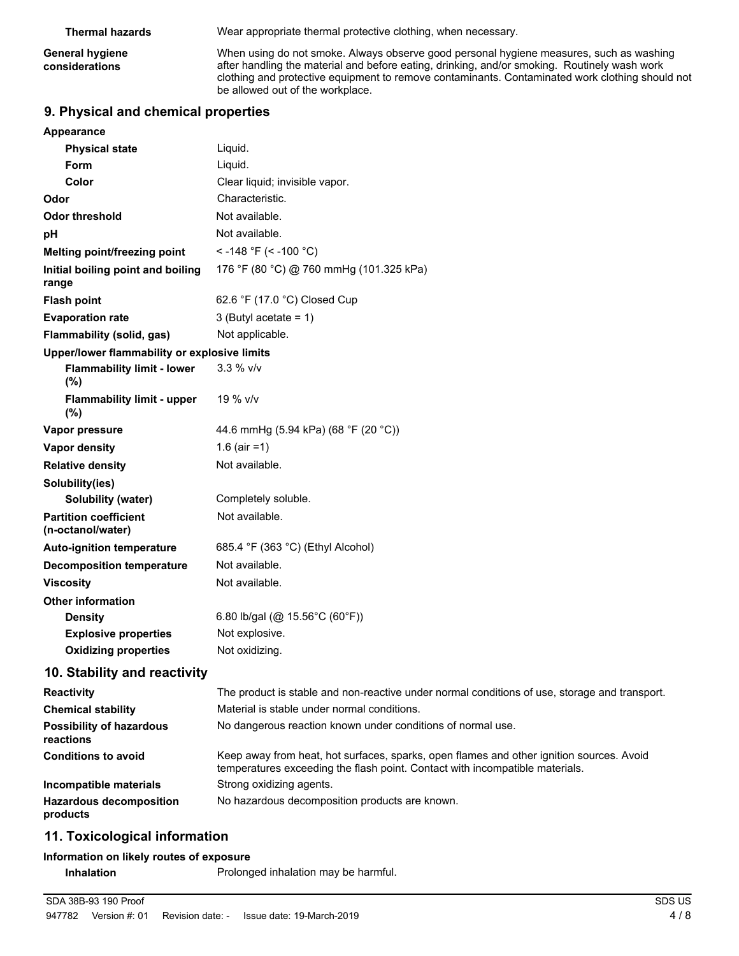**General hygiene considerations**

**Thermal hazards** Wear appropriate thermal protective clothing, when necessary.

When using do not smoke. Always observe good personal hygiene measures, such as washing after handling the material and before eating, drinking, and/or smoking. Routinely wash work clothing and protective equipment to remove contaminants. Contaminated work clothing should not be allowed out of the workplace.

## **9. Physical and chemical properties**

| Appearance                                        |                                                                                                                                                                          |
|---------------------------------------------------|--------------------------------------------------------------------------------------------------------------------------------------------------------------------------|
| <b>Physical state</b>                             | Liquid.                                                                                                                                                                  |
| Form                                              | Liquid.                                                                                                                                                                  |
| Color                                             | Clear liquid; invisible vapor.                                                                                                                                           |
| Odor                                              | Characteristic.                                                                                                                                                          |
| <b>Odor threshold</b>                             | Not available.                                                                                                                                                           |
| рH                                                | Not available.                                                                                                                                                           |
| Melting point/freezing point                      | < -148 °F (< -100 °C)                                                                                                                                                    |
| Initial boiling point and boiling<br>range        | 176 °F (80 °C) @ 760 mmHg (101.325 kPa)                                                                                                                                  |
| <b>Flash point</b>                                | 62.6 °F (17.0 °C) Closed Cup                                                                                                                                             |
| <b>Evaporation rate</b>                           | 3 (Butyl acetate = $1$ )                                                                                                                                                 |
| <b>Flammability (solid, gas)</b>                  | Not applicable.                                                                                                                                                          |
| Upper/lower flammability or explosive limits      |                                                                                                                                                                          |
| <b>Flammability limit - lower</b><br>(%)          | $3.3 %$ V/V                                                                                                                                                              |
| <b>Flammability limit - upper</b><br>$(\%)$       | 19 % v/v                                                                                                                                                                 |
| Vapor pressure                                    | 44.6 mmHg (5.94 kPa) (68 °F (20 °C))                                                                                                                                     |
| Vapor density                                     | 1.6 (air = 1)                                                                                                                                                            |
| <b>Relative density</b>                           | Not available.                                                                                                                                                           |
| Solubility(ies)                                   |                                                                                                                                                                          |
| <b>Solubility (water)</b>                         | Completely soluble.                                                                                                                                                      |
| <b>Partition coefficient</b><br>(n-octanol/water) | Not available.                                                                                                                                                           |
| <b>Auto-ignition temperature</b>                  | 685.4 °F (363 °C) (Ethyl Alcohol)                                                                                                                                        |
| <b>Decomposition temperature</b>                  | Not available.                                                                                                                                                           |
| <b>Viscosity</b>                                  | Not available.                                                                                                                                                           |
| <b>Other information</b>                          |                                                                                                                                                                          |
| <b>Density</b>                                    | 6.80 lb/gal (@ 15.56°C (60°F))                                                                                                                                           |
| <b>Explosive properties</b>                       | Not explosive.                                                                                                                                                           |
| <b>Oxidizing properties</b>                       | Not oxidizing.                                                                                                                                                           |
| 10. Stability and reactivity                      |                                                                                                                                                                          |
| Reactivity                                        | The product is stable and non-reactive under normal conditions of use, storage and transport.                                                                            |
| <b>Chemical stability</b>                         | Material is stable under normal conditions.                                                                                                                              |
| <b>Possibility of hazardous</b><br>reactions      | No dangerous reaction known under conditions of normal use.                                                                                                              |
| <b>Conditions to avoid</b>                        | Keep away from heat, hot surfaces, sparks, open flames and other ignition sources. Avoid<br>temperatures exceeding the flash point. Contact with incompatible materials. |
| Incompatible materials                            | Strong oxidizing agents.                                                                                                                                                 |
| <b>Hazardous decomposition</b>                    | No hazardous decomposition products are known.                                                                                                                           |

## **11. Toxicological information**

**products**

### **Information on likely routes of exposure**

**Inhalation** Prolonged inhalation may be harmful.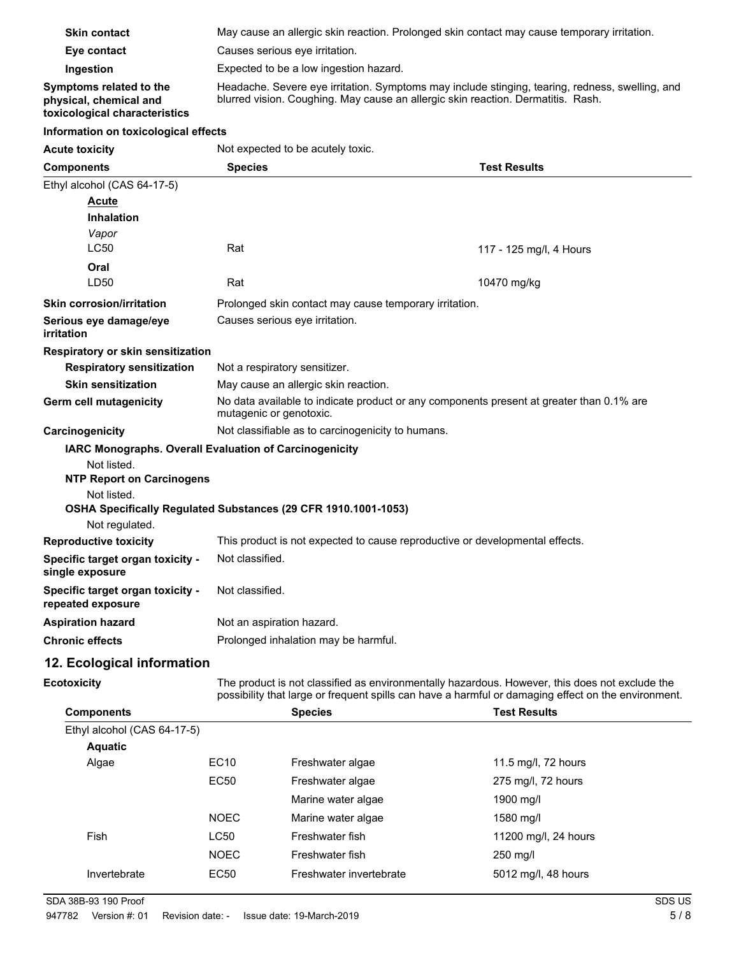| <b>Skin contact</b>                                                                                                                                                                                                                  | May cause an allergic skin reaction. Prolonged skin contact may cause temporary irritation.                                                                                         |
|--------------------------------------------------------------------------------------------------------------------------------------------------------------------------------------------------------------------------------------|-------------------------------------------------------------------------------------------------------------------------------------------------------------------------------------|
| Eye contact                                                                                                                                                                                                                          | Causes serious eve irritation.                                                                                                                                                      |
| Ingestion                                                                                                                                                                                                                            | Expected to be a low ingestion hazard.                                                                                                                                              |
| Symptoms related to the<br>physical, chemical and<br>toxicological characteristics                                                                                                                                                   | Headache. Severe eye irritation. Symptoms may include stinging, tearing, redness, swelling, and<br>blurred vision. Coughing. May cause an allergic skin reaction. Dermatitis. Rash. |
| $\blacksquare$ . The contract of the contract of the contract of the contract of the contract of the contract of the contract of the contract of the contract of the contract of the contract of the contract of the contract of the |                                                                                                                                                                                     |

#### **Information on toxicological effects**

| <b>Acute toxicity</b>                                 | Not expected to be acutely toxic.<br><b>Species</b><br><b>Test Results</b>                                          |                         |  |
|-------------------------------------------------------|---------------------------------------------------------------------------------------------------------------------|-------------------------|--|
| <b>Components</b>                                     |                                                                                                                     |                         |  |
| Ethyl alcohol (CAS 64-17-5)                           |                                                                                                                     |                         |  |
| <b>Acute</b>                                          |                                                                                                                     |                         |  |
| <b>Inhalation</b>                                     |                                                                                                                     |                         |  |
| Vapor                                                 |                                                                                                                     |                         |  |
| <b>LC50</b>                                           | Rat                                                                                                                 | 117 - 125 mg/l, 4 Hours |  |
| Oral                                                  |                                                                                                                     |                         |  |
| LD50                                                  | Rat                                                                                                                 | 10470 mg/kg             |  |
| <b>Skin corrosion/irritation</b>                      | Prolonged skin contact may cause temporary irritation.                                                              |                         |  |
| Serious eye damage/eye<br>irritation                  | Causes serious eye irritation.                                                                                      |                         |  |
| Respiratory or skin sensitization                     |                                                                                                                     |                         |  |
| <b>Respiratory sensitization</b>                      | Not a respiratory sensitizer.                                                                                       |                         |  |
| <b>Skin sensitization</b>                             | May cause an allergic skin reaction.                                                                                |                         |  |
| Germ cell mutagenicity                                | No data available to indicate product or any components present at greater than 0.1% are<br>mutagenic or genotoxic. |                         |  |
| Carcinogenicity                                       | Not classifiable as to carcinogenicity to humans.                                                                   |                         |  |
|                                                       | <b>IARC Monographs. Overall Evaluation of Carcinogenicity</b>                                                       |                         |  |
| Not listed.<br><b>NTP Report on Carcinogens</b>       |                                                                                                                     |                         |  |
| Not listed.                                           |                                                                                                                     |                         |  |
|                                                       | OSHA Specifically Regulated Substances (29 CFR 1910.1001-1053)                                                      |                         |  |
| Not regulated.                                        |                                                                                                                     |                         |  |
| <b>Reproductive toxicity</b>                          | This product is not expected to cause reproductive or developmental effects.                                        |                         |  |
| Specific target organ toxicity -<br>single exposure   | Not classified.                                                                                                     |                         |  |
| Specific target organ toxicity -<br>repeated exposure | Not classified.                                                                                                     |                         |  |
| <b>Aspiration hazard</b>                              | Not an aspiration hazard.                                                                                           |                         |  |
| <b>Chronic effects</b>                                | Prolonged inhalation may be harmful.                                                                                |                         |  |

## **12. Ecological information**

| <b>Ecotoxicity</b> |  |  |
|--------------------|--|--|
|                    |  |  |

The product is not classified as environmentally hazardous. However, this does not exclude the possibility that large or frequent spills can have a harmful or damaging effect on the environment.

| <b>Components</b>           |             | <b>Species</b>          | <b>Test Results</b>  |
|-----------------------------|-------------|-------------------------|----------------------|
| Ethyl alcohol (CAS 64-17-5) |             |                         |                      |
| <b>Aquatic</b>              |             |                         |                      |
| Algae                       | EC10        | Freshwater algae        | 11.5 mg/l, 72 hours  |
|                             | EC50        | Freshwater algae        | 275 mg/l, 72 hours   |
|                             |             | Marine water algae      | 1900 mg/l            |
|                             | <b>NOEC</b> | Marine water algae      | 1580 mg/l            |
| Fish                        | LC50        | Freshwater fish         | 11200 mg/l, 24 hours |
|                             | <b>NOEC</b> | Freshwater fish         | 250 mg/l             |
| Invertebrate                | EC50        | Freshwater invertebrate | 5012 mg/l, 48 hours  |
|                             |             |                         |                      |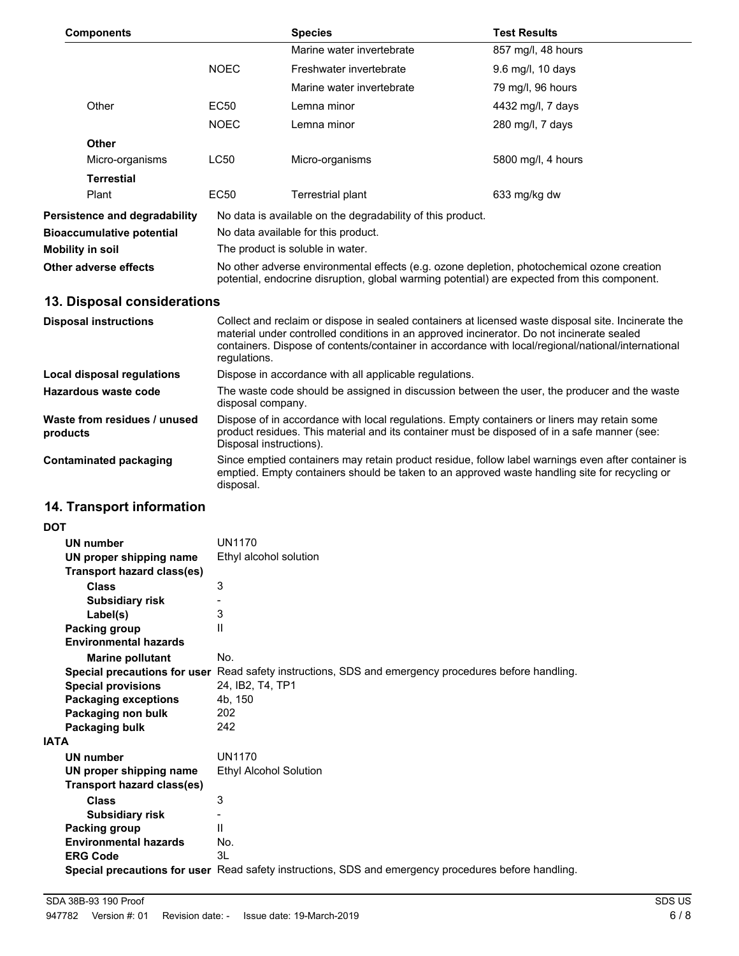| <b>Components</b>                    |                                                                                                                                                                                            | <b>Species</b>                                             | <b>Test Results</b> |
|--------------------------------------|--------------------------------------------------------------------------------------------------------------------------------------------------------------------------------------------|------------------------------------------------------------|---------------------|
|                                      |                                                                                                                                                                                            | Marine water invertebrate                                  | 857 mg/l, 48 hours  |
|                                      | <b>NOEC</b>                                                                                                                                                                                | Freshwater invertebrate                                    | 9.6 mg/l, 10 days   |
|                                      |                                                                                                                                                                                            | Marine water invertebrate                                  | 79 mg/l, 96 hours   |
| Other                                | EC50                                                                                                                                                                                       | Lemna minor                                                | 4432 mg/l, 7 days   |
|                                      | <b>NOEC</b>                                                                                                                                                                                | Lemna minor                                                | 280 mg/l, 7 days    |
| <b>Other</b>                         |                                                                                                                                                                                            |                                                            |                     |
| Micro-organisms                      | LC50                                                                                                                                                                                       | Micro-organisms                                            | 5800 mg/l, 4 hours  |
| <b>Terrestial</b>                    |                                                                                                                                                                                            |                                                            |                     |
| Plant                                | EC50                                                                                                                                                                                       | Terrestrial plant                                          | 633 mg/kg dw        |
| <b>Persistence and degradability</b> |                                                                                                                                                                                            | No data is available on the degradability of this product. |                     |
| <b>Bioaccumulative potential</b>     | No data available for this product.                                                                                                                                                        |                                                            |                     |
| <b>Mobility in soil</b>              | The product is soluble in water.                                                                                                                                                           |                                                            |                     |
| Other adverse effects                | No other adverse environmental effects (e.g. ozone depletion, photochemical ozone creation<br>potential, endocrine disruption, global warming potential) are expected from this component. |                                                            |                     |
| 13. Disposal considerations          |                                                                                                                                                                                            |                                                            |                     |
| <b>Disposal instructions</b>         | Collect and reclaim or dispose in sealed containers at licensed waste disposal site. Incinerate the                                                                                        |                                                            |                     |

| 910100011 1110ti aotiono                 | oonool and roolann or alopooo in oodlod oonlainolo al hoonood maolo diopoodi ollo. moinoralo liio<br>material under controlled conditions in an approved incinerator. Do not incinerate sealed<br>containers. Dispose of contents/container in accordance with local/regional/national/international<br>regulations. |  |
|------------------------------------------|----------------------------------------------------------------------------------------------------------------------------------------------------------------------------------------------------------------------------------------------------------------------------------------------------------------------|--|
| Local disposal regulations               | Dispose in accordance with all applicable regulations.                                                                                                                                                                                                                                                               |  |
| Hazardous waste code                     | The waste code should be assigned in discussion between the user, the producer and the waste<br>disposal company.                                                                                                                                                                                                    |  |
| Waste from residues / unused<br>products | Dispose of in accordance with local regulations. Empty containers or liners may retain some<br>product residues. This material and its container must be disposed of in a safe manner (see:<br>Disposal instructions).                                                                                               |  |
| Contaminated packaging                   | Since emptied containers may retain product residue, follow label warnings even after container is<br>emptied. Empty containers should be taken to an approved waste handling site for recycling or<br>disposal.                                                                                                     |  |

# **14. Transport information**

| <b>DOT</b>                        |                                                                                                             |
|-----------------------------------|-------------------------------------------------------------------------------------------------------------|
| <b>UN number</b>                  | <b>UN1170</b>                                                                                               |
| UN proper shipping name           | Ethyl alcohol solution                                                                                      |
| <b>Transport hazard class(es)</b> |                                                                                                             |
| <b>Class</b>                      | 3                                                                                                           |
| <b>Subsidiary risk</b>            |                                                                                                             |
| Label(s)                          | 3                                                                                                           |
| Packing group                     | $\mathbf{H}$                                                                                                |
| <b>Environmental hazards</b>      |                                                                                                             |
| <b>Marine pollutant</b>           | No.                                                                                                         |
|                                   | <b>Special precautions for user</b> Read safety instructions, SDS and emergency procedures before handling. |
| <b>Special provisions</b>         | 24, IB2, T4, TP1                                                                                            |
| <b>Packaging exceptions</b>       | 4b, 150                                                                                                     |
| Packaging non bulk                | 202                                                                                                         |
| Packaging bulk                    | 242                                                                                                         |
| <b>IATA</b>                       |                                                                                                             |
| <b>UN number</b>                  | <b>UN1170</b>                                                                                               |
| UN proper shipping name           | <b>Ethyl Alcohol Solution</b>                                                                               |
| <b>Transport hazard class(es)</b> |                                                                                                             |
| <b>Class</b>                      | 3                                                                                                           |
| <b>Subsidiary risk</b>            |                                                                                                             |
| Packing group                     | $\mathbf{H}$                                                                                                |
| <b>Environmental hazards</b>      | No.                                                                                                         |
| <b>ERG Code</b>                   | 3L                                                                                                          |
|                                   | Special precautions for user Read safety instructions, SDS and emergency procedures before handling.        |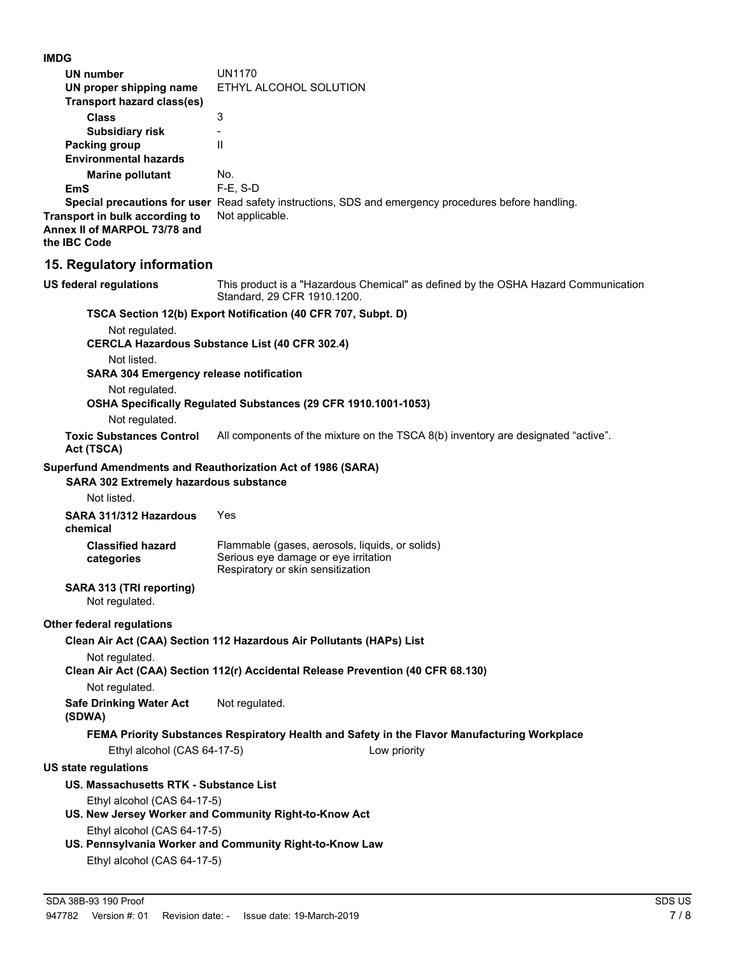**IMDG**

| <b>IMDG</b>                                                                                           |                                                                                                                                                          |
|-------------------------------------------------------------------------------------------------------|----------------------------------------------------------------------------------------------------------------------------------------------------------|
| UN number<br>UN proper shipping name<br><b>Transport hazard class(es)</b>                             | <b>UN1170</b><br>ETHYL ALCOHOL SOLUTION                                                                                                                  |
| <b>Class</b>                                                                                          | 3                                                                                                                                                        |
| <b>Subsidiary risk</b><br><b>Packing group</b><br><b>Environmental hazards</b>                        | $\mathbf{I}$                                                                                                                                             |
| <b>Marine pollutant</b><br>EmS                                                                        | No.<br>F-E, S-D                                                                                                                                          |
| Transport in bulk according to<br>Annex II of MARPOL 73/78 and<br>the IBC Code                        | Special precautions for user Read safety instructions, SDS and emergency procedures before handling.<br>Not applicable.                                  |
| 15. Regulatory information                                                                            |                                                                                                                                                          |
| US federal regulations                                                                                | This product is a "Hazardous Chemical" as defined by the OSHA Hazard Communication<br>Standard, 29 CFR 1910.1200.                                        |
| Not regulated.                                                                                        | TSCA Section 12(b) Export Notification (40 CFR 707, Subpt. D)<br><b>CERCLA Hazardous Substance List (40 CFR 302.4)</b>                                   |
| Not listed.<br><b>SARA 304 Emergency release notification</b>                                         |                                                                                                                                                          |
| Not regulated.<br>Not regulated.                                                                      | OSHA Specifically Regulated Substances (29 CFR 1910.1001-1053)                                                                                           |
| <b>Toxic Substances Control</b><br>Act (TSCA)                                                         | All components of the mixture on the TSCA 8(b) inventory are designated "active".                                                                        |
| Superfund Amendments and Reauthorization Act of 1986 (SARA)<br>SARA 302 Extremely hazardous substance |                                                                                                                                                          |
| Not listed.                                                                                           |                                                                                                                                                          |
| SARA 311/312 Hazardous<br>chemical                                                                    | Yes                                                                                                                                                      |
| <b>Classified hazard</b><br>categories                                                                | Flammable (gases, aerosols, liquids, or solids)<br>Serious eye damage or eye irritation<br>Respiratory or skin sensitization                             |
| SARA 313 (TRI reporting)<br>Not regulated.                                                            |                                                                                                                                                          |
| Other federal regulations                                                                             |                                                                                                                                                          |
| Not regulated.                                                                                        | Clean Air Act (CAA) Section 112 Hazardous Air Pollutants (HAPs) List<br>Clean Air Act (CAA) Section 112(r) Accidental Release Prevention (40 CFR 68.130) |
| Not regulated.                                                                                        |                                                                                                                                                          |
| <b>Safe Drinking Water Act</b><br>(SDWA)                                                              | Not regulated.                                                                                                                                           |
|                                                                                                       | FEMA Priority Substances Respiratory Health and Safety in the Flavor Manufacturing Workplace                                                             |
| Ethyl alcohol (CAS 64-17-5)                                                                           | Low priority                                                                                                                                             |
| US state regulations                                                                                  |                                                                                                                                                          |
| US. Massachusetts RTK - Substance List                                                                |                                                                                                                                                          |
| Ethyl alcohol (CAS 64-17-5)                                                                           | US. New Jersey Worker and Community Right-to-Know Act                                                                                                    |
| Ethyl alcohol (CAS 64-17-5)<br>Ethyl alcohol (CAS 64-17-5)                                            | US. Pennsylvania Worker and Community Right-to-Know Law                                                                                                  |